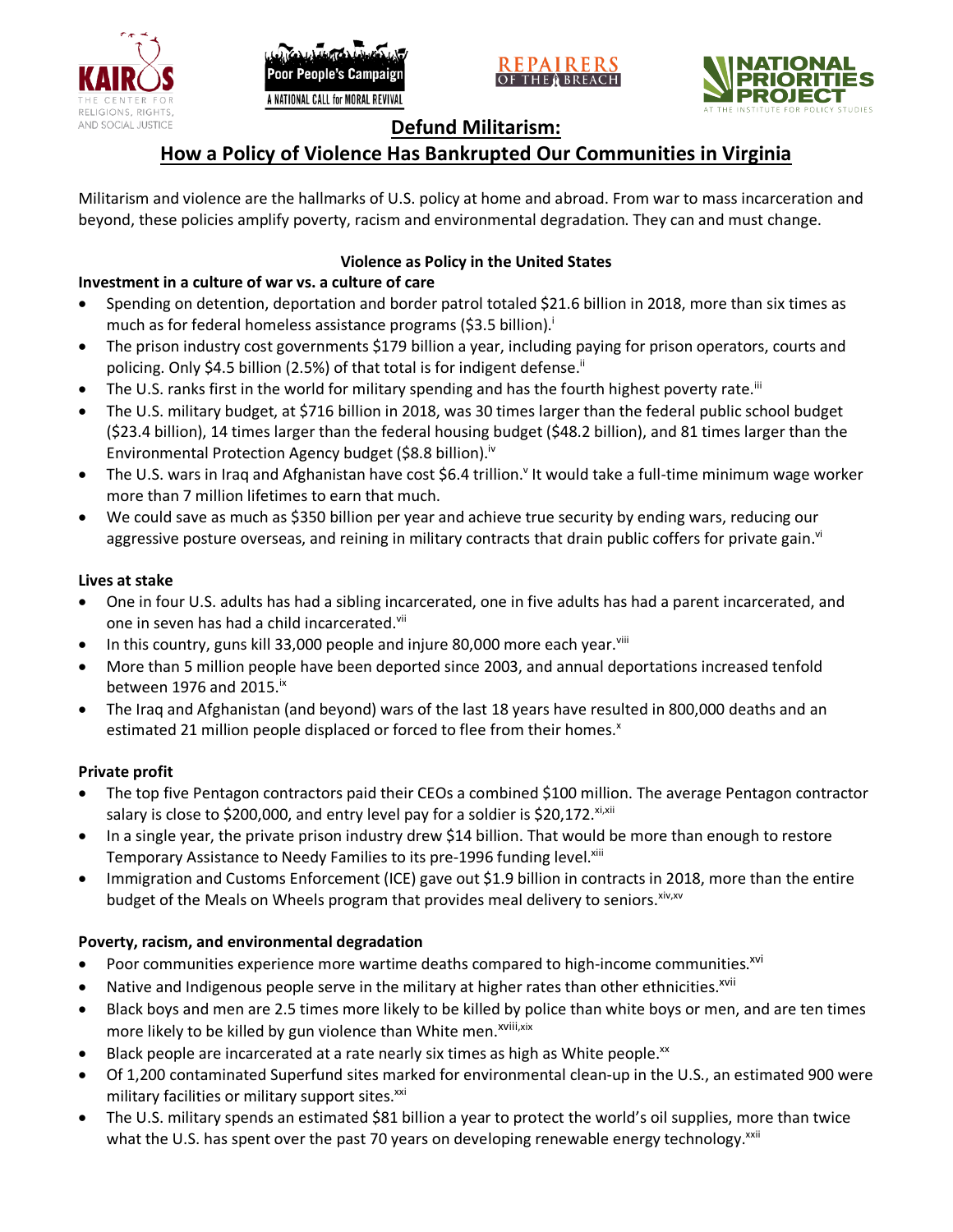





# **Defund Militarism:**

# **How a Policy of Violence Has Bankrupted Our Communities in Virginia**

Militarism and violence are the hallmarks of U.S. policy at home and abroad. From war to mass incarceration and beyond, these policies amplify poverty, racism and environmental degradation. They can and must change.

## **Violence as Policy in the United States**

# **Investment in a culture of war vs. a culture of care**

- Spending on detention, deportation and border patrol totaled \$21.6 billion in 2018, more than six times as much as for federal homeless assistance programs (\$3.5 billion).<sup>i</sup>
- The prison industry cost governments \$179 billion a year, including paying for prison operators, courts and policing. Only \$4.5 billion (2.5%) of that total is for indigent defense.<sup>ii</sup>
- The U.S. ranks first in the world for military spending and has the fourth highest poverty rate.<sup>iii</sup>
- The U.S. military budget, at \$716 billion in 2018, was 30 times larger than the federal public school budget (\$23.4 billion), 14 times larger than the federal housing budget (\$48.2 billion), and 81 times larger than the Environmental Protection Agency budget (\$8.8 billion).<sup>iv</sup>
- The U.S. wars in Iraq and Afghanistan have cost \$6.4 trillion.<sup>v</sup> It would take a full-time minimum wage worker more than 7 million lifetimes to earn that much.
- We could save as much as \$350 billion per year and achieve true security by ending wars, reducing our aggressive posture overseas, and reining in military contracts that drain public coffers for private gain.<sup>vi</sup>

### **Lives at stake**

- One in four U.S. adults has had a sibling incarcerated, one in five adults has had a parent incarcerated, and one in seven has had a child incarcerated.vii
- In this country, guns kill 33,000 people and injure 80,000 more each year. $v_{\text{lin}}$
- More than 5 million people have been deported since 2003, and annual deportations increased tenfold between 1976 and 2015. $\mathrm{i}$ <sup>x</sup>
- The Iraq and Afghanistan (and beyond) wars of the last 18 years have resulted in 800,000 deaths and an estimated 21 million people displaced or forced to flee from their homes.<sup>x</sup>

#### **Private profit**

- The top five Pentagon contractors paid their CEOs a combined \$100 million. The average Pentagon contractor salary is close to \$200,000, and entry level pay for a soldier is \$20,172. xi,xii
- In a single year, the private prison industry drew \$14 billion. That would be more than enough to restore Temporary Assistance to Needy Families to its pre-1996 funding level.<sup>xiii</sup>
- Immigration and Customs Enforcement (ICE) gave out \$1.9 billion in contracts in 2018, more than the entire budget of the Meals on Wheels program that provides meal delivery to seniors. Xiv, XV

### **Poverty, racism, and environmental degradation**

- Poor communities experience more wartime deaths compared to high-income communities.<sup>xvi</sup>
- Native and Indigenous people serve in the military at higher rates than other ethnicities.<sup>xvii</sup>
- Black boys and men are 2.5 times more likely to be killed by police than white boys or men, and are ten times more likely to be killed by gun violence than White men.<sup>xviii,xix</sup>
- Black people are incarcerated at a rate nearly six times as high as White people.<sup>xx</sup>
- Of 1,200 contaminated Superfund sites marked for environmental clean-up in the U.S., an estimated 900 were military facilities or military support sites.<sup>xxi</sup>
- The U.S. military spends an estimated \$81 billion a year to protect the world's oil supplies, more than twice what the U.S. has spent over the past 70 years on developing renewable energy technology.<sup>xxii</sup>